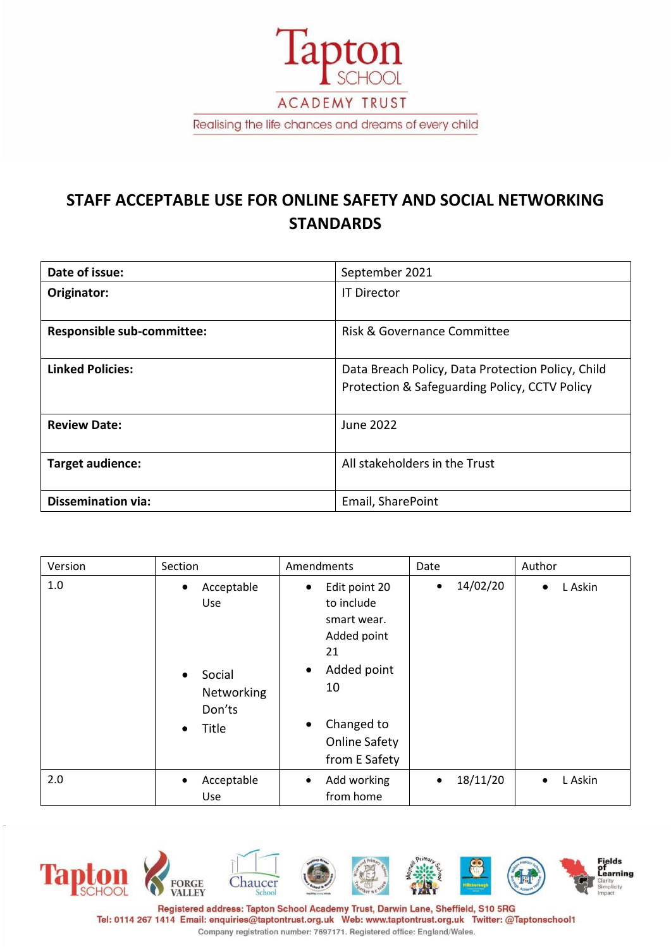

# **STAFF ACCEPTABLE USE FOR ONLINE SAFETY AND SOCIAL NETWORKING STANDARDS**

| Date of issue:                    | September 2021                                                                                     |  |  |
|-----------------------------------|----------------------------------------------------------------------------------------------------|--|--|
| Originator:                       | <b>IT Director</b>                                                                                 |  |  |
| <b>Responsible sub-committee:</b> | <b>Risk &amp; Governance Committee</b>                                                             |  |  |
| <b>Linked Policies:</b>           | Data Breach Policy, Data Protection Policy, Child<br>Protection & Safeguarding Policy, CCTV Policy |  |  |
| <b>Review Date:</b>               | <b>June 2022</b>                                                                                   |  |  |
| Target audience:                  | All stakeholders in the Trust                                                                      |  |  |
| <b>Dissemination via:</b>         | Email, SharePoint                                                                                  |  |  |

| Version | Section                                                                                             | Amendments                                                                                                                                                                 | Date                  | Author               |
|---------|-----------------------------------------------------------------------------------------------------|----------------------------------------------------------------------------------------------------------------------------------------------------------------------------|-----------------------|----------------------|
| 1.0     | Acceptable<br>$\bullet$<br>Use<br>Social<br>$\bullet$<br>Networking<br>Don'ts<br>Title<br>$\bullet$ | Edit point 20<br>٠<br>to include<br>smart wear.<br>Added point<br>21<br>Added point<br>$\bullet$<br>10<br>Changed to<br>$\bullet$<br><b>Online Safety</b><br>from E Safety | 14/02/20<br>$\bullet$ | L Askin<br>$\bullet$ |
| 2.0     | Acceptable<br>$\bullet$<br>Use                                                                      | Add working<br>$\bullet$<br>from home                                                                                                                                      | 18/11/20<br>$\bullet$ | L Askin<br>$\bullet$ |



Registered address: Tapton School Academy Trust, Darwin Lane, Sheffield, S10 5RG Tel: 0114 267 1414 Email: enquiries@taptontrust.org.uk Web: www.taptontrust.org.uk Twitter: @Taptonschool1 Company registration number: 7697171. Registered office: England/Wales.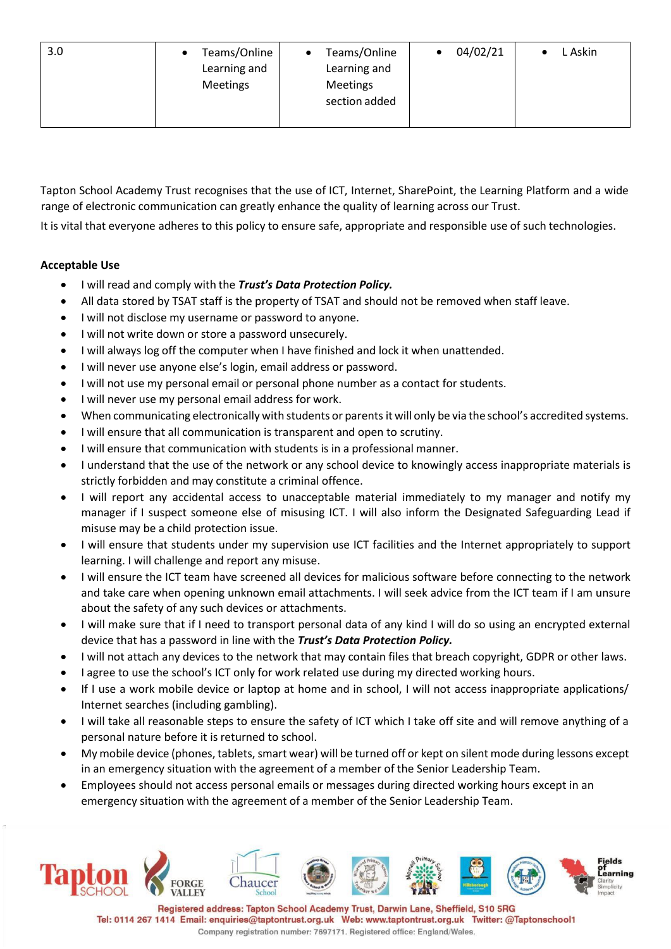| 3.0 | Teams/Online<br>٠<br>Learning and<br><b>Meetings</b> | Teams/Online<br>Learning and<br>Meetings<br>section added | 04/02/21 | L Askin |
|-----|------------------------------------------------------|-----------------------------------------------------------|----------|---------|
|     |                                                      |                                                           |          |         |

Tapton School Academy Trust recognises that the use of ICT, Internet, SharePoint, the Learning Platform and a wide range of electronic communication can greatly enhance the quality of learning across our Trust.

It is vital that everyone adheres to this policy to ensure safe, appropriate and responsible use of such technologies.

#### **Acceptable Use**

- I will read and comply with the *Trust's Data Protection Policy.*
- All data stored by TSAT staff is the property of TSAT and should not be removed when staff leave.
- I will not disclose my username or password to anyone.
- I will not write down or store a password unsecurely.
- I will always log off the computer when I have finished and lock it when unattended.
- I will never use anyone else's login, email address or password.
- I will not use my personal email or personal phone number as a contact for students.
- I will never use my personal email address for work.
- When communicating electronically with students or parentsit will only be via the school's accredited systems.
- I will ensure that all communication is transparent and open to scrutiny.
- I will ensure that communication with students is in a professional manner.
- I understand that the use of the network or any school device to knowingly access inappropriate materials is strictly forbidden and may constitute a criminal offence.
- I will report any accidental access to unacceptable material immediately to my manager and notify my manager if I suspect someone else of misusing ICT. I will also inform the Designated Safeguarding Lead if misuse may be a child protection issue.
- I will ensure that students under my supervision use ICT facilities and the Internet appropriately to support learning. I will challenge and report any misuse.
- I will ensure the ICT team have screened all devices for malicious software before connecting to the network and take care when opening unknown email attachments. I will seek advice from the ICT team if I am unsure about the safety of any such devices or attachments.
- I will make sure that if I need to transport personal data of any kind I will do so using an encrypted external device that has a password in line with the *Trust's Data Protection Policy.*
- I will not attach any devices to the network that may contain files that breach copyright, GDPR or other laws.
- I agree to use the school's ICT only for work related use during my directed working hours.
- If I use a work mobile device or laptop at home and in school, I will not access inappropriate applications/ Internet searches (including gambling).
- I will take all reasonable steps to ensure the safety of ICT which I take off site and will remove anything of a personal nature before it is returned to school.
- My mobile device (phones, tablets, smart wear) will be turned off or kept on silent mode during lessons except in an emergency situation with the agreement of a member of the Senior Leadership Team.
- Employees should not access personal emails or messages during directed working hours except in an emergency situation with the agreement of a member of the Senior Leadership Team.



Registered address: Tapton School Academy Trust, Darwin Lane, Sheffield, S10 5RG Tel: 0114 267 1414 Email: enquiries@taptontrust.org.uk Web: www.taptontrust.org.uk Twitter: @Taptonschool1 Company registration number: 7697171. Registered office: England/Wales.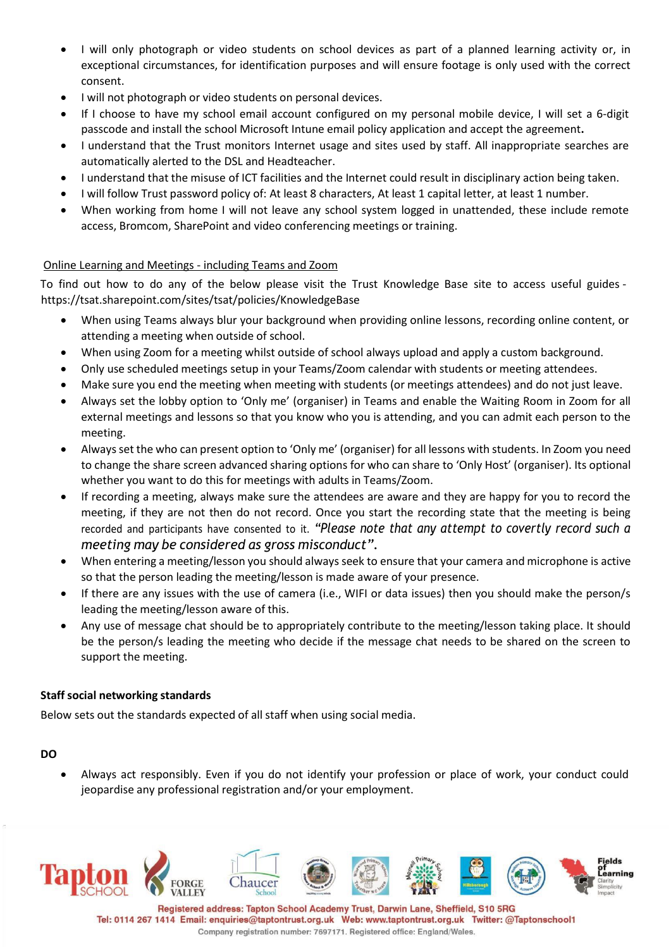- I will only photograph or video students on school devices as part of a planned learning activity or, in exceptional circumstances, for identification purposes and will ensure footage is only used with the correct consent.
- I will not photograph or video students on personal devices.
- If I choose to have my school email account configured on my personal mobile device, I will set a 6-digit passcode and install the school Microsoft Intune email policy application and accept the agreement**.**
- I understand that the Trust monitors Internet usage and sites used by staff. All inappropriate searches are automatically alerted to the DSL and Headteacher.
- I understand that the misuse of ICT facilities and the Internet could result in disciplinary action being taken.
- I will follow Trust password policy of: At least 8 characters, At least 1 capital letter, at least 1 number.
- When working from home I will not leave any school system logged in unattended, these include remote access, Bromcom, SharePoint and video conferencing meetings or training.

## Online Learning and Meetings - including Teams and Zoom

To find out how to do any of the below please visit the Trust Knowledge Base site to access useful guides https://tsat.sharepoint.com/sites/tsat/policies/KnowledgeBase

- When using Teams always blur your background when providing online lessons, recording online content, or attending a meeting when outside of school.
- When using Zoom for a meeting whilst outside of school always upload and apply a custom background.
- Only use scheduled meetings setup in your Teams/Zoom calendar with students or meeting attendees.
- Make sure you end the meeting when meeting with students (or meetings attendees) and do not just leave.
- Always set the lobby option to 'Only me' (organiser) in Teams and enable the Waiting Room in Zoom for all external meetings and lessons so that you know who you is attending, and you can admit each person to the meeting.
- Alwaysset the who can present option to 'Only me' (organiser) for all lessons with students. In Zoom you need to change the share screen advanced sharing options for who can share to 'Only Host' (organiser). Its optional whether you want to do this for meetings with adults in Teams/Zoom.
- If recording a meeting, always make sure the attendees are aware and they are happy for you to record the meeting, if they are not then do not record. Once you start the recording state that the meeting is being recorded and participants have consented to it. *"Please note that any attempt to covertly record such a meeting may be considered as gross misconduct".*
- When entering a meeting/lesson you should always seek to ensure that your camera and microphone is active so that the person leading the meeting/lesson is made aware of your presence.
- If there are any issues with the use of camera (i.e., WIFI or data issues) then you should make the person/s leading the meeting/lesson aware of this.
- Any use of message chat should be to appropriately contribute to the meeting/lesson taking place. It should be the person/s leading the meeting who decide if the message chat needs to be shared on the screen to support the meeting.

#### **Staff social networking standards**

Below sets out the standards expected of all staff when using social media.

#### **DO**

• Always act responsibly. Even if you do not identify your profession or place of work, your conduct could jeopardise any professional registration and/or your employment.



Tel: 0114 267 1414 Email: enquiries@taptontrust.org.uk Web: www.taptontrust.org.uk Twitter: @Taptonschool1 Company registration number: 7697171. Registered office: England/Wales.